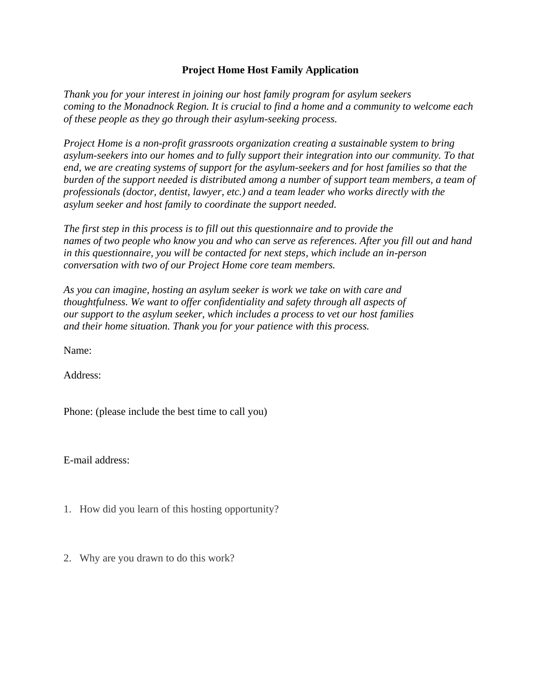## **Project Home Host Family Application**

*Thank you for your interest in joining our host family program for asylum seekers coming to the Monadnock Region. It is crucial to find a home and a community to welcome each of these people as they go through their asylum-seeking process.*

*Project Home is a non-profit grassroots organization creating a sustainable system to bring asylum-seekers into our homes and to fully support their integration into our community. To that end, we are creating systems of support for the asylum-seekers and for host families so that the burden of the support needed is distributed among a number of support team members, a team of professionals (doctor, dentist, lawyer, etc.) and a team leader who works directly with the asylum seeker and host family to coordinate the support needed.*

*The first step in this process is to fill out this questionnaire and to provide the names of two people who know you and who can serve as references. After you fill out and hand in this questionnaire, you will be contacted for next steps, which include an in-person conversation with two of our Project Home core team members.*

*As you can imagine, hosting an asylum seeker is work we take on with care and thoughtfulness. We want to offer confidentiality and safety through all aspects of our support to the asylum seeker, which includes a process to vet our host families and their home situation. Thank you for your patience with this process.*

Name:

Address:

Phone: (please include the best time to call you)

E-mail address:

- 1. How did you learn of this hosting opportunity?
- 2. Why are you drawn to do this work?